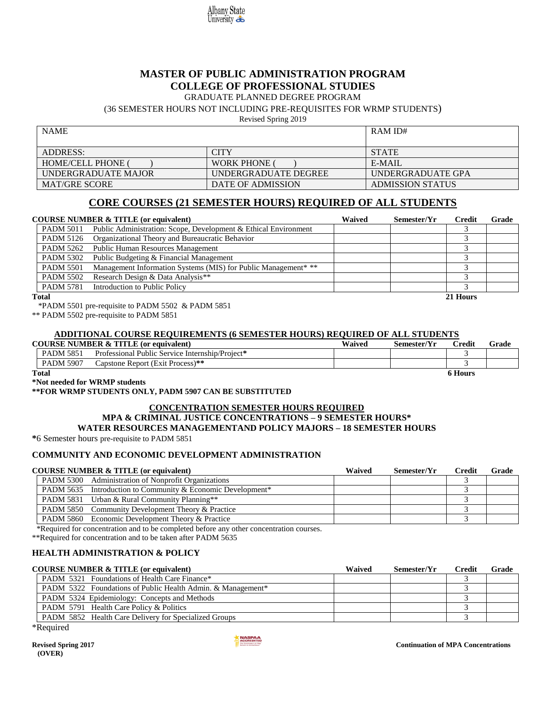

# **MASTER OF PUBLIC ADMINISTRATION PROGRAM COLLEGE OF PROFESSIONAL STUDIES**

#### GRADUATE PLANNED DEGREE PROGRAM

(36 SEMESTER HOURS NOT INCLUDING PRE-REQUISITES FOR WRMP STUDENTS)

Revised Spring 2019

| <b>NAME</b>              |                      | RAM ID#                 |
|--------------------------|----------------------|-------------------------|
| <b>ADDRESS:</b>          | CITY                 | <b>STATE</b>            |
| <b>HOME/CELL PHONE (</b> | <b>WORK PHONE</b>    | $E-MAIL$                |
| UNDERGRADUATE MAJOR      | UNDERGRADUATE DEGREE | UNDERGRADUATE GPA       |
| <b>MAT/GRE SCORE</b>     | DATE OF ADMISSION    | <b>ADMISSION STATUS</b> |

# **CORE COURSES (21 SEMESTER HOURS) REQUIRED OF ALL STUDENTS**

|                  | <b>COURSE NUMBER &amp; TITLE (or equivalent)</b>                | Waived | Semester/Yr | Credit   | Grade |
|------------------|-----------------------------------------------------------------|--------|-------------|----------|-------|
| <b>PADM 5011</b> | Public Administration: Scope, Development & Ethical Environment |        |             |          |       |
| <b>PADM 5126</b> | Organizational Theory and Bureaucratic Behavior                 |        |             |          |       |
| PADM 5262        | <b>Public Human Resources Management</b>                        |        |             |          |       |
| <b>PADM 5302</b> | Public Budgeting & Financial Management                         |        |             |          |       |
| <b>PADM 5501</b> | Management Information Systems (MIS) for Public Management* **  |        |             |          |       |
| <b>PADM 5502</b> | Research Design & Data Analysis**                               |        |             |          |       |
| <b>PADM 5781</b> | Introduction to Public Policy                                   |        |             |          |       |
| <b>Total</b>     |                                                                 |        |             | 21 Hours |       |

\*PADM 5501 pre-requisite to PADM 5502 & PADM 5851

\*\* PADM 5502 pre-requisite to PADM 5851

#### **ADDITIONAL COURSE REQUIREMENTS (6 SEMESTER HOURS) REQUIRED OF ALL STUDENTS**

|                  | <b>COURSE NUMBER &amp; TITLE (or equivalent)</b>   | Waived | Semester/Yr | <b>Predit</b> | Grade |
|------------------|----------------------------------------------------|--------|-------------|---------------|-------|
| <b>PADM 5851</b> | Public Service Internship/Project*<br>Professional |        |             |               |       |
| <b>PADM 5907</b> | Capstone Report (Exit Process)**                   |        |             |               |       |

**Total 6 Hours**

**\*Not needed for WRMP students**

#### **\*\*FOR WRMP STUDENTS ONLY, PADM 5907 CAN BE SUBSTITUTED**

# **CONCENTRATION SEMESTER HOURS REQUIRED**

# **MPA & CRIMINAL JUSTICE CONCENTRATIONS – 9 SEMESTER HOURS\***

**WATER RESOURCES MANAGEMENTAND POLICY MAJORS – 18 SEMESTER HOURS**

**\***6 Semester hours pre-requisite to PADM 5851

#### **COMMUNITY AND ECONOMIC DEVELOPMENT ADMINISTRATION**

### **COURSE NUMBER & TITLE (or equivalent) Waived Semester/Yr Credit Grade** PADM 5300 Administration of Nonprofit Organizations 3 PADM 5635 Introduction to Community & Economic Development<sup>\*</sup> 3 PADM 5831 Urban & Rural Community Planning\*\* 3 PADM 5850 Community Development Theory & Practice 3 PADM 5860 Economic Development Theory & Practice 3

\*Required for concentration and to be completed before any other concentration courses.

\*\*Required for concentration and to be taken after PADM 5635

#### **HEALTH ADMINISTRATION & POLICY**

| <b>COURSE NUMBER &amp; TITLE (or equivalent)</b>                   | Waived | Semester/Yr | Credit | Grade |
|--------------------------------------------------------------------|--------|-------------|--------|-------|
| <b>PADM 5321</b> Foundations of Health Care Finance*               |        |             |        |       |
| <b>PADM 5322</b> Foundations of Public Health Admin. & Management* |        |             |        |       |
| PADM 5324 Epidemiology: Concepts and Methods                       |        |             |        |       |
| <b>PADM 5791 Health Care Policy &amp; Politics</b>                 |        |             |        |       |
| <b>PADM 5852</b> Health Care Delivery for Specialized Groups       |        |             |        |       |

\*Required

 **(OVER)**